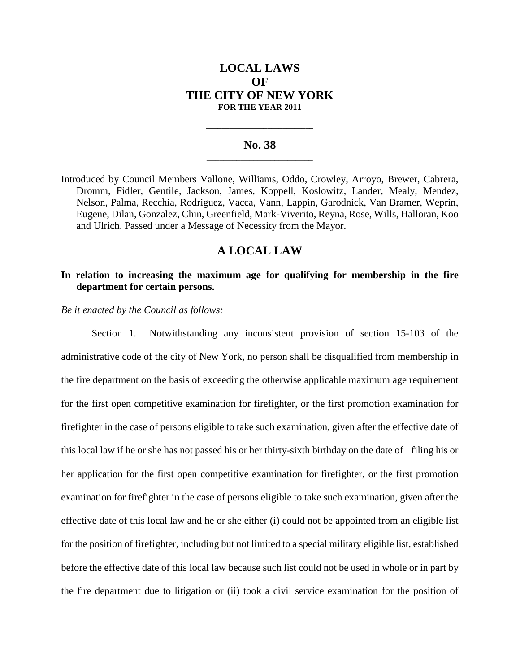# **LOCAL LAWS OF THE CITY OF NEW YORK FOR THE YEAR 2011**

#### **No. 38 \_\_\_\_\_\_\_\_\_\_\_\_\_\_\_\_\_\_\_\_\_\_\_\_\_**

**\_\_\_\_\_\_\_\_\_\_\_\_\_\_\_\_\_\_\_\_\_\_\_\_\_\_\_\_**

Introduced by Council Members Vallone, Williams, Oddo, Crowley, Arroyo, Brewer, Cabrera, Dromm, Fidler, Gentile, Jackson, James, Koppell, Koslowitz, Lander, Mealy, Mendez, Nelson, Palma, Recchia, Rodriguez, Vacca, Vann, Lappin, Garodnick, Van Bramer, Weprin, Eugene, Dilan, Gonzalez, Chin, Greenfield, Mark-Viverito, Reyna, Rose, Wills, Halloran, Koo and Ulrich. Passed under a Message of Necessity from the Mayor.

## **A LOCAL LAW**

### **In relation to increasing the maximum age for qualifying for membership in the fire department for certain persons.**

*Be it enacted by the Council as follows:*

Section 1. Notwithstanding any inconsistent provision of section 15-103 of the administrative code of the city of New York, no person shall be disqualified from membership in the fire department on the basis of exceeding the otherwise applicable maximum age requirement for the first open competitive examination for firefighter, or the first promotion examination for firefighter in the case of persons eligible to take such examination, given after the effective date of this local law if he or she has not passed his or her thirty-sixth birthday on the date of filing his or her application for the first open competitive examination for firefighter, or the first promotion examination for firefighter in the case of persons eligible to take such examination, given after the effective date of this local law and he or she either (i) could not be appointed from an eligible list for the position of firefighter, including but not limited to a special military eligible list, established before the effective date of this local law because such list could not be used in whole or in part by the fire department due to litigation or (ii) took a civil service examination for the position of